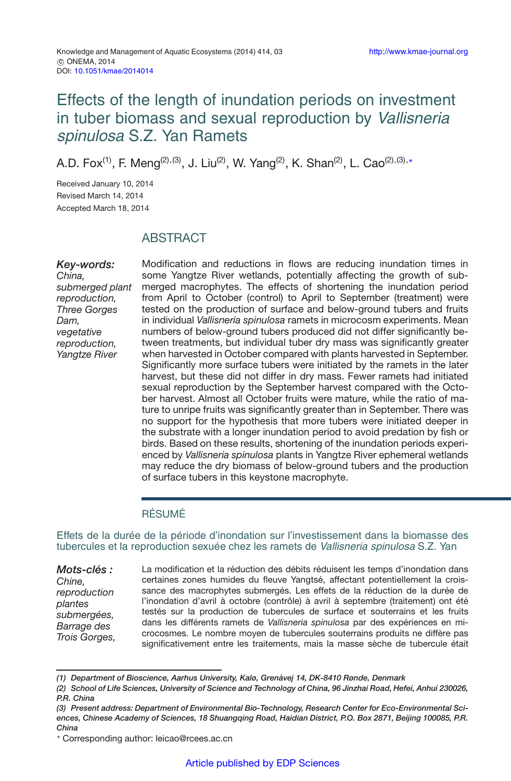# Effects of the length of inundation periods on investment in tuber biomass and sexual reproduction by Vallisneria spinulosa S.Z. Yan Ramets

A.D. Fox<sup>(1)</sup>, F. Meng<sup>(2),(3)</sup>, J. Liu<sup>(2)</sup>, W. Yang<sup>(2)</sup>, K. Shan<sup>(2)</sup>, L. Cao<sup>(2),(3),</sup>\*

Received January 10, 2014 Revised March 14, 2014 Accepted March 18, 2014

## ABSTRACT

*Key-words: China, submerged plant reproduction, Three Gorges Dam, vegetative reproduction, Yangtze River*

Modification and reductions in flows are reducing inundation times in some Yangtze River wetlands, potentially affecting the growth of submerged macrophytes. The effects of shortening the inundation period from April to October (control) to April to September (treatment) were tested on the production of surface and below-ground tubers and fruits in individual *Vallisneria spinulosa* ramets in microcosm experiments. Mean numbers of below-ground tubers produced did not differ significantly between treatments, but individual tuber dry mass was significantly greater when harvested in October compared with plants harvested in September. Significantly more surface tubers were initiated by the ramets in the later harvest, but these did not differ in dry mass. Fewer ramets had initiated sexual reproduction by the September harvest compared with the October harvest. Almost all October fruits were mature, while the ratio of mature to unripe fruits was significantly greater than in September. There was no support for the hypothesis that more tubers were initiated deeper in the substrate with a longer inundation period to avoid predation by fish or birds. Based on these results, shortening of the inundation periods experienced by *Vallisneria spinulosa* plants in Yangtze River ephemeral wetlands may reduce the dry biomass of below-ground tubers and the production of surface tubers in this keystone macrophyte.

#### RÉSUMÉ

Effets de la durée de la période d'inondation sur l'investissement dans la biomasse des tubercules et la reproduction sexuée chez les ramets de Vallisneria spinulosa S.Z. Yan

*Mots-clés : Chine, reproduction plantes submergées, Barrage des Trois Gorges,*

La modification et la réduction des débits réduisent les temps d'inondation dans certaines zones humides du fleuve Yangtsé, affectant potentiellement la croissance des macrophytes submergés. Les effets de la réduction de la durée de l'inondation d'avril à octobre (contrôle) à avril à septembre (traitement) ont été testés sur la production de tubercules de surface et souterrains et les fruits dans les différents ramets de *Vallisneria spinulosa* par des expériences en microcosmes. Le nombre moyen de tubercules souterrains produits ne diffère pas significativement entre les traitements, mais la masse sèche de tubercule était

*<sup>(1)</sup> Department of Bioscience, Aarhus University, Kalø, Grenåvej 14, DK-8410 Rønde, Denmark*

*<sup>(2)</sup> School of Life Sciences, University of Science and Technology of China, 96 Jinzhai Road, Hefei, Anhui 230026, P.R. China*

*<sup>(3)</sup> Present address: Department of Environmental Bio-Technology, Research Center for Eco-Environmental Sciences, Chinese Academy of Sciences, 18 Shuangqing Road, Haidian District, P.O. Box 2871, Beijing 100085, P.R. China*

<sup>-</sup> Corresponding author: leicao@rcees.ac.cn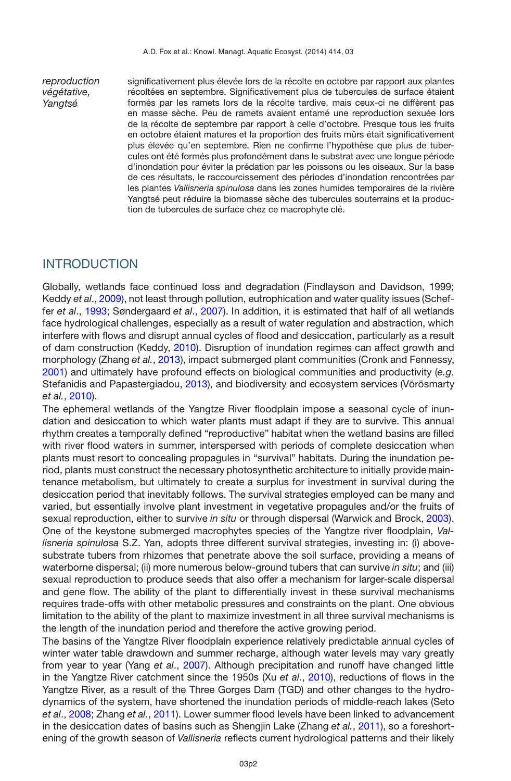*reproduction végétative, Yangtsé*

significativement plus élevée lors de la récolte en octobre par rapport aux plantes récoltées en septembre. Significativement plus de tubercules de surface étaient formés par les ramets lors de la récolte tardive, mais ceux-ci ne diffèrent pas en masse sèche. Peu de ramets avaient entamé une reproduction sexuée lors de la récolte de septembre par rapport à celle d'octobre. Presque tous les fruits en octobre étaient matures et la proportion des fruits mûrs était significativement plus élevée qu'en septembre. Rien ne confirme l'hypothèse que plus de tubercules ont été formés plus profondément dans le substrat avec une longue période d'inondation pour éviter la prédation par les poissons ou les oiseaux. Sur la base de ces résultats, le raccourcissement des périodes d'inondation rencontrées par les plantes *Vallisneria spinulosa* dans les zones humides temporaires de la rivière Yangtsé peut réduire la biomasse sèche des tubercules souterrains et la production de tubercules de surface chez ce macrophyte clé.

### INTRODUCTION

Globally, wetlands face continued loss and degradation (Findlayson and Davidson, 1999; Keddy *et al*., [2009](#page-8-0)), not least through pollution, eutrophication and water quality issues (Scheffer *et al*., [1993;](#page-9-0) Søndergaard *et al*., [2007\)](#page-9-1). In addition, it is estimated that half of all wetlands face hydrological challenges, especially as a result of water regulation and abstraction, which interfere with flows and disrupt annual cycles of flood and desiccation, particularly as a result of dam construction (Keddy, [2010\)](#page-8-1). Disruption of inundation regimes can affect growth and morphology (Zhang *et al.*, [2013](#page-9-2)), impact submerged plant communities (Cronk and Fennessy, [2001\)](#page-8-2) and ultimately have profound effects on biological communities and productivity (*e.g.* Stefanidis and Papastergiadou, [2013](#page-9-3)), and biodiversity and ecosystem services (Vörösmarty *et al.*, [2010\)](#page-9-4).

The ephemeral wetlands of the Yangtze River floodplain impose a seasonal cycle of inundation and desiccation to which water plants must adapt if they are to survive. This annual rhythm creates a temporally defined "reproductive" habitat when the wetland basins are filled with river flood waters in summer, interspersed with periods of complete desiccation when plants must resort to concealing propagules in "survival" habitats. During the inundation period, plants must construct the necessary photosynthetic architecture to initially provide maintenance metabolism, but ultimately to create a surplus for investment in survival during the desiccation period that inevitably follows. The survival strategies employed can be many and varied, but essentially involve plant investment in vegetative propagules and/or the fruits of sexual reproduction, either to survive *in situ* or through dispersal (Warwick and Brock, [2003](#page-9-5)). One of the keystone submerged macrophytes species of the Yangtze river floodplain, *Vallisneria spinulosa* S.Z. Yan, adopts three different survival strategies, investing in: (i) abovesubstrate tubers from rhizomes that penetrate above the soil surface, providing a means of waterborne dispersal; (ii) more numerous below-ground tubers that can survive *in situ*; and (iii) sexual reproduction to produce seeds that also offer a mechanism for larger-scale dispersal and gene flow. The ability of the plant to differentially invest in these survival mechanisms requires trade-offs with other metabolic pressures and constraints on the plant. One obvious limitation to the ability of the plant to maximize investment in all three survival mechanisms is the length of the inundation period and therefore the active growing period.

The basins of the Yangtze River floodplain experience relatively predictable annual cycles of winter water table drawdown and summer recharge, although water levels may vary greatly from year to year (Yang *et al*., [2007](#page-9-6)). Although precipitation and runoff have changed little in the Yangtze River catchment since the 1950s (Xu *et al*., [2010](#page-9-7)), reductions of flows in the Yangtze River, as a result of the Three Gorges Dam (TGD) and other changes to the hydrodynamics of the system, have shortened the inundation periods of middle-reach lakes (Seto *et al*., [2008](#page-9-8); Zhang *et al.*, [2011\)](#page-9-9). Lower summer flood levels have been linked to advancement in the desiccation dates of basins such as Shengjin Lake (Zhang *et al.*, [2011](#page-9-9)), so a foreshortening of the growth season of *Vallisneria* reflects current hydrological patterns and their likely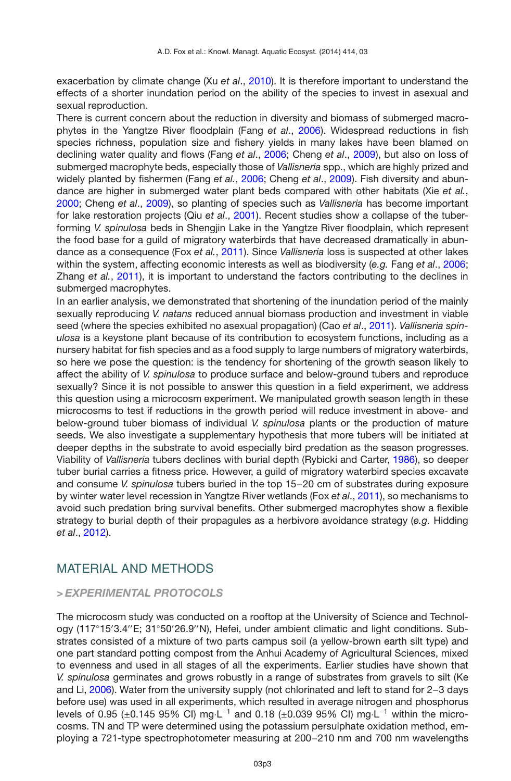exacerbation by climate change (Xu *et al*., [2010\)](#page-9-7). It is therefore important to understand the effects of a shorter inundation period on the ability of the species to invest in asexual and sexual reproduction.

There is current concern about the reduction in diversity and biomass of submerged macrophytes in the Yangtze River floodplain (Fang *et al*., [2006](#page-8-3)). Widespread reductions in fish species richness, population size and fishery yields in many lakes have been blamed on declining water quality and flows (Fang *et al*., [2006](#page-8-3); Cheng *et al*., [2009](#page-8-4)), but also on loss of submerged macrophyte beds, especially those of *Vallisneria* spp., which are highly prized and widely planted by fishermen (Fang *et al.*, [2006](#page-8-3); Cheng *et al*., [2009](#page-8-4)). Fish diversity and abundance are higher in submerged water plant beds compared with other habitats (Xie *et al.*, [2000;](#page-9-10) Cheng *et al*., [2009](#page-8-4)), so planting of species such as *Vallisneria* has become important for lake restoration projects (Qiu *et al*., [2001\)](#page-8-5). Recent studies show a collapse of the tuberforming *V. spinulosa* beds in Shengjin Lake in the Yangtze River floodplain, which represent the food base for a guild of migratory waterbirds that have decreased dramatically in abundance as a consequence (Fox *et al.*, [2011](#page-8-6)). Since *Vallisneria* loss is suspected at other lakes within the system, affecting economic interests as well as biodiversity (*e.g.* Fang *et al*., [2006;](#page-8-3) Zhang *et al.*, [2011](#page-9-9)), it is important to understand the factors contributing to the declines in submerged macrophytes.

In an earlier analysis, we demonstrated that shortening of the inundation period of the mainly sexually reproducing *V. natans* reduced annual biomass production and investment in viable seed (where the species exhibited no asexual propagation) (Cao *et al*., [2011\)](#page-8-7). *Vallisneria spinulosa* is a keystone plant because of its contribution to ecosystem functions, including as a nursery habitat for fish species and as a food supply to large numbers of migratory waterbirds, so here we pose the question: is the tendency for shortening of the growth season likely to affect the ability of *V. spinulosa* to produce surface and below-ground tubers and reproduce sexually? Since it is not possible to answer this question in a field experiment, we address this question using a microcosm experiment. We manipulated growth season length in these microcosms to test if reductions in the growth period will reduce investment in above- and below-ground tuber biomass of individual *V. spinulosa* plants or the production of mature seeds. We also investigate a supplementary hypothesis that more tubers will be initiated at deeper depths in the substrate to avoid especially bird predation as the season progresses. Viability of *Vallisneria* tubers declines with burial depth (Rybicki and Carter, [1986](#page-8-8)), so deeper tuber burial carries a fitness price. However, a guild of migratory waterbird species excavate and consume *V. spinulosa* tubers buried in the top 15−20 cm of substrates during exposure by winter water level recession in Yangtze River wetlands (Fox *et al*., [2011](#page-8-6)), so mechanisms to avoid such predation bring survival benefits. Other submerged macrophytes show a flexible strategy to burial depth of their propagules as a herbivore avoidance strategy (*e.g.* Hidding *et al*., [2012\)](#page-8-9).

### MATERIAL AND METHODS

#### *> EXPERIMENTAL PROTOCOLS*

The microcosm study was conducted on a rooftop at the University of Science and Technology (117°15′3.4″E; 31°50′26.9″N), Hefei, under ambient climatic and light conditions. Substrates consisted of a mixture of two parts campus soil (a yellow-brown earth silt type) and one part standard potting compost from the Anhui Academy of Agricultural Sciences, mixed to evenness and used in all stages of all the experiments. Earlier studies have shown that *V. spinulosa* germinates and grows robustly in a range of substrates from gravels to silt (Ke and Li, [2006](#page-8-10)). Water from the university supply (not chlorinated and left to stand for 2−3 days before use) was used in all experiments, which resulted in average nitrogen and phosphorus levels of 0.95 (±0.145 95% CI) mg·L−<sup>1</sup> and 0.18 (±0.039 95% CI) mg·L−<sup>1</sup> within the microcosms. TN and TP were determined using the potassium persulphate oxidation method, employing a 721-type spectrophotometer measuring at 200−210 nm and 700 nm wavelengths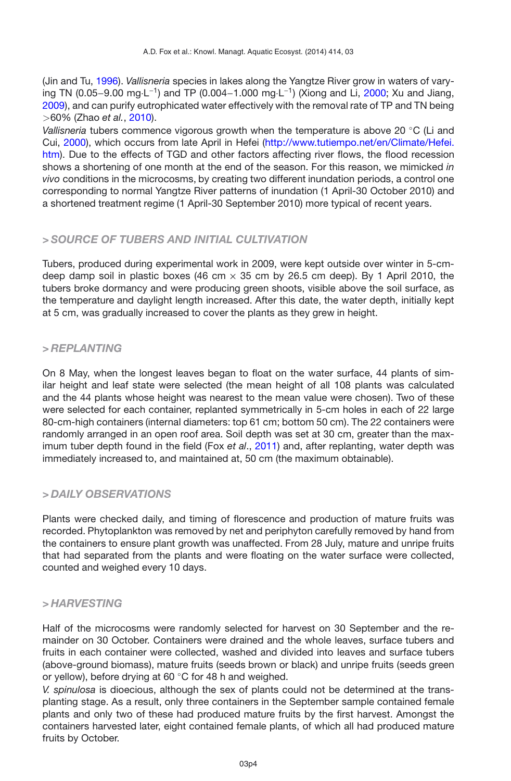(Jin and Tu, [1996\)](#page-8-11). *Vallisneria* species in lakes along the Yangtze River grow in waters of varying TN (0.05−9.00 mg·L−1) and TP (0.004−1.000 mg·L−1) (Xiong and Li, [2000;](#page-9-11) Xu and Jiang, [2009\)](#page-9-12), and can purify eutrophicated water effectively with the removal rate of TP and TN being *>*60% (Zhao *et al.*, [2010](#page-9-7)).

*Vallisneria* tubers commence vigorous growth when the temperature is above 20 ◦C (Li and Cui, [2000\)](#page-8-12), which occurs from late April in Hefei [\(http://www.tutiempo.net/en/Climate/Hefei.](http://www.tutiempo.net/en/Climate/Hefei.htm) [htm\)](http://www.tutiempo.net/en/Climate/Hefei.htm). Due to the effects of TGD and other factors affecting river flows, the flood recession shows a shortening of one month at the end of the season. For this reason, we mimicked *in vivo* conditions in the microcosms, by creating two different inundation periods, a control one corresponding to normal Yangtze River patterns of inundation (1 April-30 October 2010) and a shortened treatment regime (1 April-30 September 2010) more typical of recent years.

#### *> SOURCE OF TUBERS AND INITIAL CULTIVATION*

Tubers, produced during experimental work in 2009, were kept outside over winter in 5-cmdeep damp soil in plastic boxes (46 cm  $\times$  35 cm by 26.5 cm deep). By 1 April 2010, the tubers broke dormancy and were producing green shoots, visible above the soil surface, as the temperature and daylight length increased. After this date, the water depth, initially kept at 5 cm, was gradually increased to cover the plants as they grew in height.

#### *> REPLANTING*

On 8 May, when the longest leaves began to float on the water surface, 44 plants of similar height and leaf state were selected (the mean height of all 108 plants was calculated and the 44 plants whose height was nearest to the mean value were chosen). Two of these were selected for each container, replanted symmetrically in 5-cm holes in each of 22 large 80-cm-high containers (internal diameters: top 61 cm; bottom 50 cm). The 22 containers were randomly arranged in an open roof area. Soil depth was set at 30 cm, greater than the maximum tuber depth found in the field (Fox *et al*., [2011\)](#page-8-6) and, after replanting, water depth was immediately increased to, and maintained at, 50 cm (the maximum obtainable).

#### *> DAILY OBSERVATIONS*

Plants were checked daily, and timing of florescence and production of mature fruits was recorded. Phytoplankton was removed by net and periphyton carefully removed by hand from the containers to ensure plant growth was unaffected. From 28 July, mature and unripe fruits that had separated from the plants and were floating on the water surface were collected, counted and weighed every 10 days.

#### *> HARVESTING*

Half of the microcosms were randomly selected for harvest on 30 September and the remainder on 30 October. Containers were drained and the whole leaves, surface tubers and fruits in each container were collected, washed and divided into leaves and surface tubers (above-ground biomass), mature fruits (seeds brown or black) and unripe fruits (seeds green or yellow), before drying at 60 ◦C for 48 h and weighed.

*V. spinulosa* is dioecious, although the sex of plants could not be determined at the transplanting stage. As a result, only three containers in the September sample contained female plants and only two of these had produced mature fruits by the first harvest. Amongst the containers harvested later, eight contained female plants, of which all had produced mature fruits by October.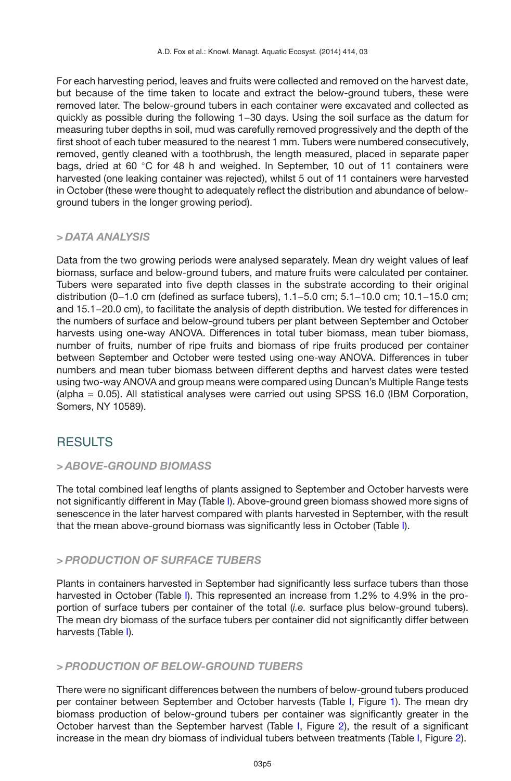For each harvesting period, leaves and fruits were collected and removed on the harvest date, but because of the time taken to locate and extract the below-ground tubers, these were removed later. The below-ground tubers in each container were excavated and collected as quickly as possible during the following 1−30 days. Using the soil surface as the datum for measuring tuber depths in soil, mud was carefully removed progressively and the depth of the first shoot of each tuber measured to the nearest 1 mm. Tubers were numbered consecutively, removed, gently cleaned with a toothbrush, the length measured, placed in separate paper bags, dried at 60 °C for 48 h and weighed. In September, 10 out of 11 containers were harvested (one leaking container was rejected), whilst 5 out of 11 containers were harvested in October (these were thought to adequately reflect the distribution and abundance of belowground tubers in the longer growing period).

#### *> DATA ANALYSIS*

Data from the two growing periods were analysed separately. Mean dry weight values of leaf biomass, surface and below-ground tubers, and mature fruits were calculated per container. Tubers were separated into five depth classes in the substrate according to their original distribution (0−1.0 cm (defined as surface tubers), 1.1−5.0 cm; 5.1−10.0 cm; 10.1−15.0 cm; and 15.1−20.0 cm), to facilitate the analysis of depth distribution. We tested for differences in the numbers of surface and below-ground tubers per plant between September and October harvests using one-way ANOVA. Differences in total tuber biomass, mean tuber biomass, number of fruits, number of ripe fruits and biomass of ripe fruits produced per container between September and October were tested using one-way ANOVA. Differences in tuber numbers and mean tuber biomass between different depths and harvest dates were tested using two-way ANOVA and group means were compared using Duncan's Multiple Range tests (alpha = 0.05). All statistical analyses were carried out using SPSS 16.0 (IBM Corporation, Somers, NY 10589).

## **RESULTS**

#### *> ABOVE-GROUND BIOMASS*

The total combined leaf lengths of plants assigned to September and October harvests were not significantly different in May (Table [I\)](#page-5-0). Above-ground green biomass showed more signs of senescence in the later harvest compared with plants harvested in September, with the result that the mean above-ground biomass was significantly less in October (Table [I\)](#page-5-0).

#### *> PRODUCTION OF SURFACE TUBERS*

Plants in containers harvested in September had significantly less surface tubers than those harvested in October (Table [I\)](#page-5-0). This represented an increase from 1.2% to 4.9% in the proportion of surface tubers per container of the total (*i.e.* surface plus below-ground tubers). The mean dry biomass of the surface tubers per container did not significantly differ between harvests (Table [I\)](#page-5-0).

#### *> PRODUCTION OF BELOW-GROUND TUBERS*

There were no significant differences between the numbers of below-ground tubers produced per container between September and October harvests (Table [I,](#page-5-0) Figure [1\)](#page-6-0). The mean dry biomass production of below-ground tubers per container was significantly greater in the October harvest than the September harvest (Table [I,](#page-5-0) Figure [2\)](#page-6-1), the result of a significant increase in the mean dry biomass of individual tubers between treatments (Table [I,](#page-5-0) Figure [2\)](#page-6-1).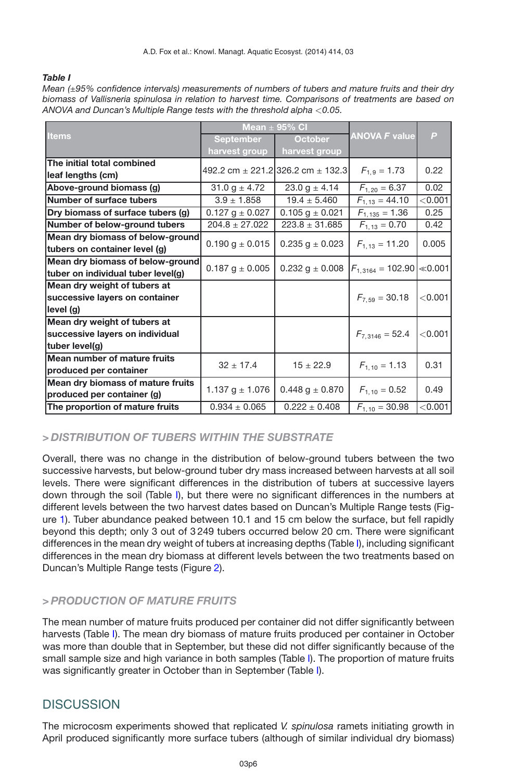#### <span id="page-5-0"></span>*Table I*

| Mean ( $\pm 95\%$ confidence intervals) measurements of numbers of tubers and mature fruits and their dry |
|-----------------------------------------------------------------------------------------------------------|
| biomass of Vallisneria spinulosa in relation to harvest time. Comparisons of treatments are based on      |
| ANOVA and Duncan's Multiple Range tests with the threshold alpha $<$ 0.05. $\,$                           |
|                                                                                                           |

| <b>Items</b>                       | Mean $\pm$ 95% CI     |                                           |                               |              |
|------------------------------------|-----------------------|-------------------------------------------|-------------------------------|--------------|
|                                    | <b>September</b>      | <b>October</b>                            | <b>ANOVA F value</b>          | $\mathsf{P}$ |
|                                    | harvest group         | harvest group                             |                               |              |
| The initial total combined         |                       |                                           |                               |              |
| leaf lengths (cm)                  |                       | 492.2 cm $\pm$ 221.2 326.2 cm $\pm$ 132.3 | $F_{1.9} = 1.73$              | 0.22         |
| Above-ground biomass (g)           | $31.0 g \pm 4.72$     | $23.0 g \pm 4.14$                         | $F_{1,20} = 6.37$             | 0.02         |
| Number of surface tubers           | $3.9 \pm 1.858$       | $19.4 \pm 5.460$                          | $F_{1,13} = 44.10$            | < 0.001      |
| Dry biomass of surface tubers (g)  | $0.127$ g $\pm$ 0.027 | $0.105$ g $\pm$ 0.021                     | $F_{1,135} = 1.36$            | 0.25         |
| Number of below-ground tubers      | $204.8 \pm 27.022$    | $223.8 \pm 31.685$                        | $F_{1,13} = 0.70$             | 0.42         |
| Mean dry biomass of below-ground   |                       |                                           |                               |              |
| tubers on container level (g)      | $0.190$ g $\pm$ 0.015 | $0.235$ g $\pm$ 0.023                     | $F_{1,13} = 11.20$            | 0.005        |
| Mean dry biomass of below-ground   |                       |                                           |                               |              |
| tuber on individual tuber level(g) | $0.187$ g $\pm$ 0.005 | $0.232$ g $\pm$ 0.008                     | $F_{1,3164} = 102.90$ < 0.001 |              |
| Mean dry weight of tubers at       |                       |                                           |                               |              |
| successive layers on container     |                       |                                           | $F_{7.59} = 30.18$            | < 0.001      |
| level (g)                          |                       |                                           |                               |              |
| Mean dry weight of tubers at       |                       |                                           |                               |              |
| successive layers on individual    |                       |                                           | $F_{7,3146} = 52.4$           | < 0.001      |
| tuber level(g)                     |                       |                                           |                               |              |
| Mean number of mature fruits       | $32 \pm 17.4$         | $15 \pm 22.9$                             |                               | 0.31         |
| produced per container             |                       |                                           | $F_{1,10} = 1.13$             |              |
| Mean dry biomass of mature fruits  |                       |                                           |                               | 0.49         |
| produced per container (g)         | 1.137 g $\pm$ 1.076   | $0.448 g \pm 0.870$                       | $F_{1,10} = 0.52$             |              |
| The proportion of mature fruits    | $0.934 \pm 0.065$     | $0.222 \pm 0.408$                         | $F_{1,10} = 30.98$            | < 0.001      |

### *> DISTRIBUTION OF TUBERS WITHIN THE SUBSTRATE*

Overall, there was no change in the distribution of below-ground tubers between the two successive harvests, but below-ground tuber dry mass increased between harvests at all soil levels. There were significant differences in the distribution of tubers at successive layers down through the soil (Table [I\)](#page-5-0), but there were no significant differences in the numbers at different levels between the two harvest dates based on Duncan's Multiple Range tests (Figure [1\)](#page-6-0). Tuber abundance peaked between 10.1 and 15 cm below the surface, but fell rapidly beyond this depth; only 3 out of 3 249 tubers occurred below 20 cm. There were significant differences in the mean dry weight of tubers at increasing depths (Table [I\)](#page-5-0), including significant differences in the mean dry biomass at different levels between the two treatments based on Duncan's Multiple Range tests (Figure [2\)](#page-6-1).

#### *> PRODUCTION OF MATURE FRUITS*

The mean number of mature fruits produced per container did not differ significantly between harvests (Table [I\)](#page-5-0). The mean dry biomass of mature fruits produced per container in October was more than double that in September, but these did not differ significantly because of the small sample size and high variance in both samples (Table [I\)](#page-5-0). The proportion of mature fruits was significantly greater in October than in September (Table [I\)](#page-5-0).

## **DISCUSSION**

The microcosm experiments showed that replicated *V. spinulosa* ramets initiating growth in April produced significantly more surface tubers (although of similar individual dry biomass)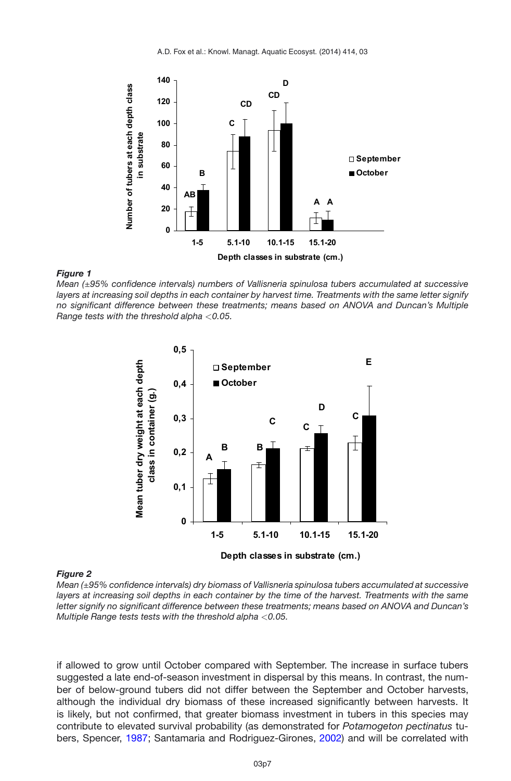<span id="page-6-0"></span>

#### *Figure 1*

*Mean (*±*95% confidence intervals) numbers of Vallisneria spinulosa tubers accumulated at successive layers at increasing soil depths in each container by harvest time. Treatments with the same letter signify no significant difference between these treatments; means based on ANOVA and Duncan's Multiple Range tests with the threshold alpha <0.05.*

<span id="page-6-1"></span>

#### *Figure 2*

*Mean (*±*95% confidence intervals) dry biomass of Vallisneria spinulosa tubers accumulated at successive layers at increasing soil depths in each container by the time of the harvest. Treatments with the same letter signify no significant difference between these treatments; means based on ANOVA and Duncan's Multiple Range tests tests with the threshold alpha <0.05.*

if allowed to grow until October compared with September. The increase in surface tubers suggested a late end-of-season investment in dispersal by this means. In contrast, the number of below-ground tubers did not differ between the September and October harvests, although the individual dry biomass of these increased significantly between harvests. It is likely, but not confirmed, that greater biomass investment in tubers in this species may contribute to elevated survival probability (as demonstrated for *Potamogeton pectinatus* tubers, Spencer, [1987;](#page-9-13) Santamaria and Rodriguez-Girones, [2002](#page-9-14)) and will be correlated with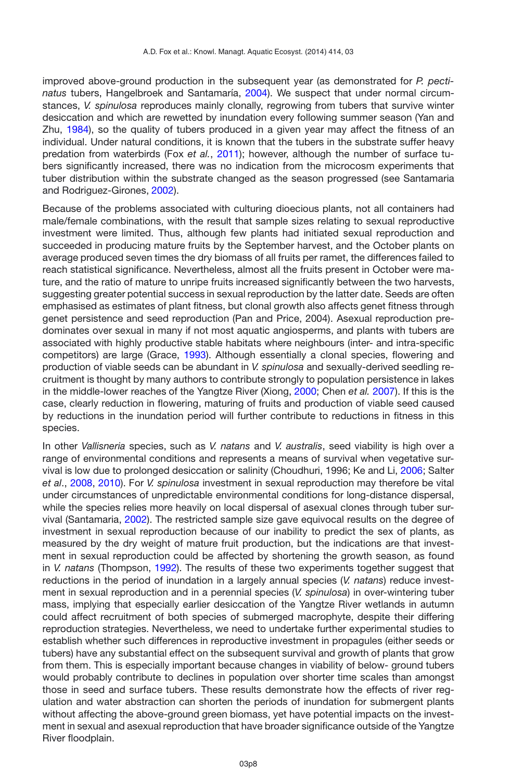improved above-ground production in the subsequent year (as demonstrated for *P. pectinatus* tubers, Hangelbroek and Santamaría, [2004](#page-8-13)). We suspect that under normal circumstances, *V. spinulosa* reproduces mainly clonally, regrowing from tubers that survive winter desiccation and which are rewetted by inundation every following summer season (Yan and Zhu, [1984\)](#page-9-15), so the quality of tubers produced in a given year may affect the fitness of an individual. Under natural conditions, it is known that the tubers in the substrate suffer heavy predation from waterbirds (Fox *et al.*, [2011](#page-8-6)); however, although the number of surface tubers significantly increased, there was no indication from the microcosm experiments that tuber distribution within the substrate changed as the season progressed (see Santamaria and Rodriguez-Girones, [2002](#page-9-14)).

Because of the problems associated with culturing dioecious plants, not all containers had male/female combinations, with the result that sample sizes relating to sexual reproductive investment were limited. Thus, although few plants had initiated sexual reproduction and succeeded in producing mature fruits by the September harvest, and the October plants on average produced seven times the dry biomass of all fruits per ramet, the differences failed to reach statistical significance. Nevertheless, almost all the fruits present in October were mature, and the ratio of mature to unripe fruits increased significantly between the two harvests, suggesting greater potential success in sexual reproduction by the latter date. Seeds are often emphasised as estimates of plant fitness, but clonal growth also affects genet fitness through genet persistence and seed reproduction (Pan and Price, 2004). Asexual reproduction predominates over sexual in many if not most aquatic angiosperms, and plants with tubers are associated with highly productive stable habitats where neighbours (inter- and intra-specific competitors) are large (Grace, [1993\)](#page-8-14). Although essentially a clonal species, flowering and production of viable seeds can be abundant in *V. spinulosa* and sexually-derived seedling recruitment is thought by many authors to contribute strongly to population persistence in lakes in the middle-lower reaches of the Yangtze River (Xiong, [2000](#page-9-16); Chen *et al.* [2007](#page-8-15)). If this is the case, clearly reduction in flowering, maturing of fruits and production of viable seed caused by reductions in the inundation period will further contribute to reductions in fitness in this species.

In other *Vallisneria* species, such as *V. natans* and *V. australis*, seed viability is high over a range of environmental conditions and represents a means of survival when vegetative survival is low due to prolonged desiccation or salinity (Choudhuri, 1996; Ke and Li, [2006](#page-8-10); Salter *et al*., [2008](#page-8-16), [2010](#page-9-17)). For *V. spinulosa* investment in sexual reproduction may therefore be vital under circumstances of unpredictable environmental conditions for long-distance dispersal, while the species relies more heavily on local dispersal of asexual clones through tuber survival (Santamaria, [2002\)](#page-9-18). The restricted sample size gave equivocal results on the degree of investment in sexual reproduction because of our inability to predict the sex of plants, as measured by the dry weight of mature fruit production, but the indications are that investment in sexual reproduction could be affected by shortening the growth season, as found in *V. natans* (Thompson, [1992](#page-9-19)). The results of these two experiments together suggest that reductions in the period of inundation in a largely annual species (*V. natans*) reduce investment in sexual reproduction and in a perennial species (*V. spinulosa*) in over-wintering tuber mass, implying that especially earlier desiccation of the Yangtze River wetlands in autumn could affect recruitment of both species of submerged macrophyte, despite their differing reproduction strategies. Nevertheless, we need to undertake further experimental studies to establish whether such differences in reproductive investment in propagules (either seeds or tubers) have any substantial effect on the subsequent survival and growth of plants that grow from them. This is especially important because changes in viability of below- ground tubers would probably contribute to declines in population over shorter time scales than amongst those in seed and surface tubers. These results demonstrate how the effects of river regulation and water abstraction can shorten the periods of inundation for submergent plants without affecting the above-ground green biomass, yet have potential impacts on the investment in sexual and asexual reproduction that have broader significance outside of the Yangtze River floodplain.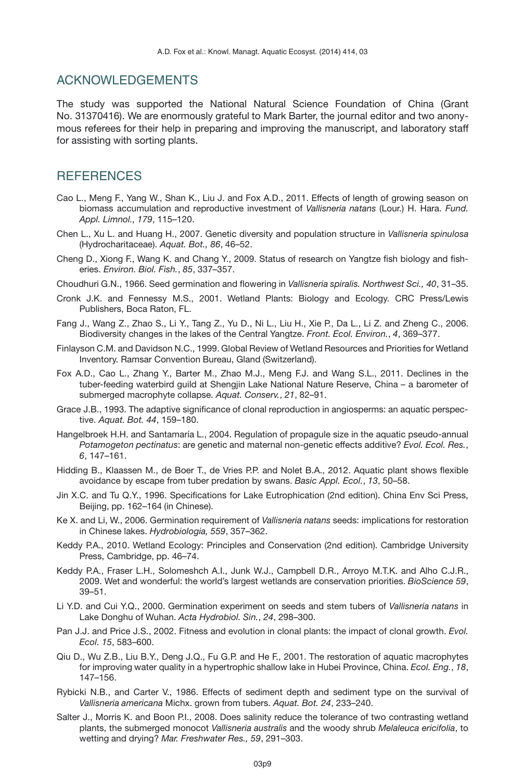#### ACKNOWLEDGEMENTS

The study was supported the National Natural Science Foundation of China (Grant No. 31370416). We are enormously grateful to Mark Barter, the journal editor and two anonymous referees for their help in preparing and improving the manuscript, and laboratory staff for assisting with sorting plants.

### **REFERENCES**

- <span id="page-8-7"></span>Cao L., Meng F., Yang W., Shan K., Liu J. and Fox A.D., 2011. Effects of length of growing season on biomass accumulation and reproductive investment of *Vallisneria natans* (Lour.) H. Hara. *Fund. Appl. Limnol., 179*, 115–120.
- <span id="page-8-15"></span>Chen L., Xu L. and Huang H., 2007. Genetic diversity and population structure in *Vallisneria spinulosa* (Hydrocharitaceae). *Aquat. Bot., 86*, 46–52.
- <span id="page-8-4"></span>Cheng D., Xiong F., Wang K. and Chang Y., 2009. Status of research on Yangtze fish biology and fisheries. *Environ. Biol. Fish.*, *85*, 337–357.
- Choudhuri G.N., 1966. Seed germination and flowering in *Vallisneria spiralis. Northwest Sci., 40*, 31–35.
- <span id="page-8-2"></span>Cronk J.K. and Fennessy M.S., 2001. Wetland Plants: Biology and Ecology. CRC Press/Lewis Publishers, Boca Raton, FL.
- <span id="page-8-3"></span>Fang J., Wang Z., Zhao S., Li Y., Tang Z., Yu D., Ni L., Liu H., Xie P., Da L., Li Z. and Zheng C., 2006. Biodiversity changes in the lakes of the Central Yangtze. *Front. Ecol. Environ.*, *4*, 369–377.
- Finlayson C.M. and Davidson N.C., 1999. Global Review of Wetland Resources and Priorities for Wetland Inventory. Ramsar Convention Bureau, Gland (Switzerland).
- <span id="page-8-6"></span>Fox A.D., Cao L., Zhang Y., Barter M., Zhao M.J., Meng F.J. and Wang S.L., 2011. Declines in the tuber-feeding waterbird guild at Shengjin Lake National Nature Reserve, China – a barometer of submerged macrophyte collapse. *Aquat. Conserv.*, *21*, 82–91.
- <span id="page-8-14"></span>Grace J.B., 1993. The adaptive significance of clonal reproduction in angiosperms: an aquatic perspective. *Aquat. Bot. 44*, 159–180.
- <span id="page-8-13"></span>Hangelbroek H.H. and Santamaría L., 2004. Regulation of propagule size in the aquatic pseudo-annual *Potamogeton pectinatus*: are genetic and maternal non-genetic effects additive? *Evol. Ecol. Res.*, *6*, 147–161.
- <span id="page-8-9"></span>Hidding B., Klaassen M., de Boer T., de Vries P.P. and Nolet B.A., 2012. Aquatic plant shows flexible avoidance by escape from tuber predation by swans. *Basic Appl. Ecol.*, *13*, 50–58.
- <span id="page-8-11"></span>Jin X.C. and Tu Q.Y., 1996. Specifications for Lake Eutrophication (2nd edition). China Env Sci Press, Beijing, pp. 162–164 (in Chinese).
- <span id="page-8-10"></span>Ke X. and Li, W., 2006. Germination requirement of *Vallisneria natans* seeds: implications for restoration in Chinese lakes. *Hydrobiologia, 559*, 357–362.
- <span id="page-8-1"></span>Keddy P.A., 2010. Wetland Ecology: Principles and Conservation (2nd edition). Cambridge University Press, Cambridge, pp. 46–74.
- <span id="page-8-0"></span>Keddy P.A., Fraser L.H., Solomeshch A.I., Junk W.J., Campbell D.R., Arroyo M.T.K. and Alho C.J.R., 2009. Wet and wonderful: the world's largest wetlands are conservation priorities. *BioScience 59*, 39–51.
- <span id="page-8-12"></span>Li Y.D. and Cui Y.Q., 2000. Germination experiment on seeds and stem tubers of *Vallisneria natans* in Lake Donghu of Wuhan. *Acta Hydrobiol. Sin.*, *24*, 298–300.
- Pan J.J. and Price J.S., 2002. Fitness and evolution in clonal plants: the impact of clonal growth. *Evol. Ecol. 15*, 583–600.
- <span id="page-8-5"></span>Qiu D., Wu Z.B., Liu B.Y., Deng J.Q., Fu G.P. and He F., 2001. The restoration of aquatic macrophytes for improving water quality in a hypertrophic shallow lake in Hubei Province, China. *Ecol. Eng.*, *18*, 147–156.
- <span id="page-8-8"></span>Rybicki N.B., and Carter V., 1986. Effects of sediment depth and sediment type on the survival of *Vallisneria americana* Michx. grown from tubers. *Aquat. Bot. 24*, 233–240.
- <span id="page-8-16"></span>Salter J., Morris K. and Boon P.I., 2008. Does salinity reduce the tolerance of two contrasting wetland plants, the submerged monocot *Vallisneria australis* and the woody shrub *Melaleuca ericifolia*, to wetting and drying? *Mar. Freshwater Res., 59*, 291–303.